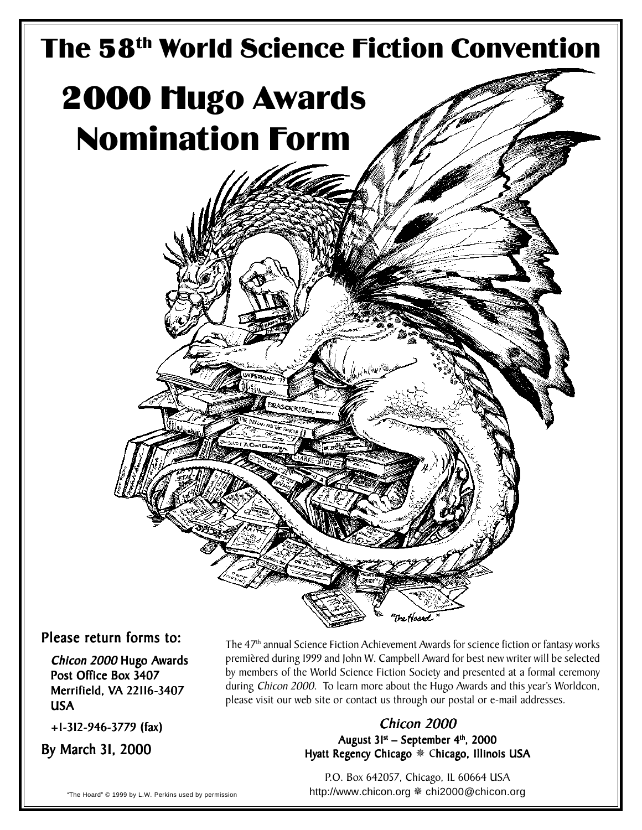

Please return forms to:

Chicon 2000 Hugo Awards Post Office Box 3407 Merrifield, VA 22116-3407 USA

+1-312-946-3779 (fax) +1-312-946-3779

By March 31, 2000

The 47th annual Science Fiction Achievement Awards for science fiction or fantasy works premièred during 1999 and John W. Campbell Award for best new writer will be selected by members of the World Science Fiction Society and presented at a formal ceremony during Chicon 2000. To learn more about the Hugo Awards and this year's Worldcon, please visit our web site or contact us through our postal or e-mail addresses.

# Chicon 2000

August  $31^{st}$  – September  $4^{th}$ , 2000 Hyatt Regency Chicago \* Chicago, Illinois USA

P.O. Box 642057, Chicago, IL 60664 USA "The Hoard" © 1999 by L.W. Perkins used by permission http://www.chicon.org ※ chi2000 @ chicon.org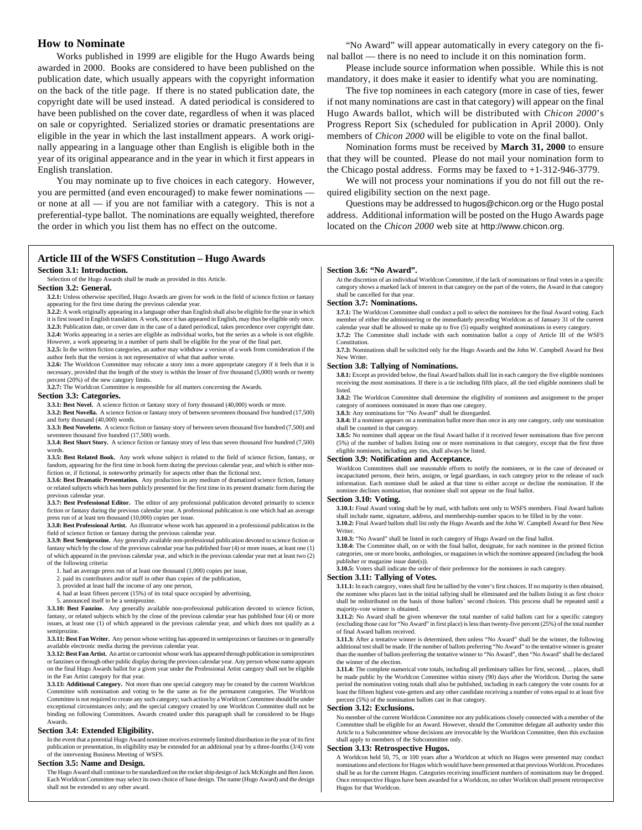# **How to Nominate**

Works published in 1999 are eligible for the Hugo Awards being awarded in 2000. Books are considered to have been published on the publication date, which usually appears with the copyright information on the back of the title page. If there is no stated publication date, the copyright date will be used instead. A dated periodical is considered to have been published on the cover date, regardless of when it was placed on sale or copyrighted. Serialized stories or dramatic presentations are eligible in the year in which the last installment appears. A work originally appearing in a language other than English is eligible both in the year of its original appearance and in the year in which it first appears in English translation.

You may nominate up to five choices in each category. However, you are permitted (and even encouraged) to make fewer nominations or none at all — if you are not familiar with a category. This is not a preferential-type ballot. The nominations are equally weighted, therefore the order in which you list them has no effect on the outcome.

## "No Award" will appear automatically in every category on the final ballot — there is no need to include it on this nomination form.

Please include source information when possible. While this is not mandatory, it does make it easier to identify what you are nominating.

The five top nominees in each category (more in case of ties, fewer if not many nominations are cast in that category) will appear on the final Hugo Awards ballot, which will be distributed with *Chicon 2000*'s Progress Report Six (scheduled for publication in April 2000). Only members of *Chicon 2000* will be eligible to vote on the final ballot.

Nomination forms must be received by **March 31, 2000** to ensure that they will be counted. Please do not mail your nomination form to the Chicago postal address. Forms may be faxed to +1-312-946-3779.

We will not process your nominations if you do not fill out the required eligibility section on the next page.

Questions may be addressed to hugos@chicon.org or the Hugo postal address. Additional information will be posted on the Hugo Awards page located on the *Chicon 2000* web site at http://www.chicon.org.

# **Article III of the WSFS Constitution – Hugo Awards**

#### **Section 3.1: Introduction.**

Selection of the Hugo Awards shall be made as provided in this Article.

## **Section 3.2: General.**

**3.2.1:** Unless otherwise specified, Hugo Awards are given for work in the field of science fiction or fantasy appearing for the first time during the previous calendar year.

**3.2.2:** A work originally appearing in a language other than English shall also be eligible for the year in which it is first issued in English translation. A work, once it has appeared in English, may thus be eligible only once. **3.2.3:** Publication date, or cover date in the case of a dated periodical, takes precedence over copyright date.

**3.2.4:** Works appearing in a series are eligible as individual works, but the series as a whole is not eligible. However, a work appearing in a number of parts shall be eligible for the year of the final part.

**3.2.5:** In the written fiction categories, an author may withdraw a version of a work from consideration if the author feels that the version is not representative of what that author wrote.

**3.2.6:** The Worldcon Committee may relocate a story into a more appropriate category if it feels that it is necessary, provided that the length of the story is within the lesser of five thousand (5,000) words or twenty percent (20%) of the new category limits. **3.2.7:** The Worldcon Committee is responsible for all matters concerning the Awards.

## **Section 3.3: Categories.**

**3.3.1: Best Novel.** A science fiction or fantasy story of forty thousand (40,000) words or more. **3.3.2: Best Novella.** A science fiction or fantasy story of between seventeen thousand five hundred (17,500)

and forty thousand (40,000) words. **3.3.3: Best Novelette.** A science fiction or fantasy story of between seven thousand five hundred (7,500) and seventeen thousand five hundred (17,500) words.

**3.3.4: Best Short Story.** A science fiction or fantasy story of less than seven thousand five hundred (7,500) words.

**3.3.5: Best Related Book.** Any work whose subject is related to the field of science fiction, fantasy, or fandom, appearing for the first time in book form during the previous calendar year, and which is either nonfiction or, if fictional, is noteworthy primarily for aspects other than the fictional text.

**3.3.6: Best Dramatic Presentation.** Any production in any medium of dramatized science fiction, fantasy or related subjects which has been publicly presented for the first time in its present dramatic form during the previous calendar year.

**3.3.7: Best Professional Editor.** The editor of any professional publication devoted primarily to science fiction or fantasy during the previous calendar year. A professional publication is one which had an average

press run of at least ten thousand (10,000) copies per issue. **3.3.8: Best Professional Artist.** An illustrator whose work has appeared in a professional publication in the field of science fiction or fantasy during the previous calendar year.

**3.3.9: Best Semiprozine.** Any generally available non-professional publication devoted to science fiction or fantasy which by the close of the previous calendar year has published four (4) or more issues, at least one (1) of which appeared in the previous calendar year, and which in the previous calendar year met at least two (2) of the following criteria:

#### 1. had an average press run of at least one thousand (1,000) copies per issue,

- 2. paid its contributors and/or staff in other than copies of the publication, 3. provided at least half the income of any one person.
- provided at least half the income of any one person,
- 4. had at least fifteen percent (15%) of its total space occupied by advertising,
- 5. announced itself to be a semiprozine.

**3.3.10: Best Fanzine.** Any generally available non-professional publication devoted to science fiction, fantasy, or related subjects which by the close of the previous calendar year has published four (4) or more issues, at least one (1) of which appeared in the previous calendar year, and which does not qualify as a semiprozine.

#### **3.3.11: Best Fan Writer.** Any person whose writing has appeared in semiprozines or fanzines or in generally available electronic media during the previous calendar year.

**3.3.12: Best Fan Artist.** An artist or cartoonist whose work has appeared through publication in semiprozines or fanzines or through other public display during the previous calendar year. Any person whose name appears on the final Hugo Awards ballot for a given year under the Professional Artist category shall not be eligible in the Fan Artist category for that year.

**3.3.13: Additional Category.** Not more than one special category may be created by the current Worldcon Committee with nomination and voting to be the same as for the permanent categories. The Worldcon Committee is not required to create any such category; such action by a Worldcon Committee should be under exceptional circumstances only; and the special category created by one Worldcon Committee shall not be binding on following Committees. Awards created under this paragraph shall be considered to be Hugo Awards.

## **Section 3.4: Extended Eligibility.**

In the event that a potential Hugo Award nominee receives extremely limited distribution in the year of its first publication or presentation, its eligibility may be extended for an additional year by a three-fourths (3/4) vote of the intervening Business Meeting of WSFS.

#### **Section 3.5: Name and Design.**

The Hugo Award shall continue to be standardized on the rocket ship design of Jack McKnight and Ben Jason. Each Worldcon Committee may select its own choice of base design. The name (Hugo Award) and the design shall not be extended to any other award.

#### **Section 3.6: "No Award".**

At the discretion of an individual Worldcon Committee, if the lack of nominations or final votes in a specific category shows a marked lack of interest in that category on the part of the voters, the Award in that category shall be cancelled for that year.

#### **Section 3.7: Nominations.**

**3.7.1:** The Worldcon Committee shall conduct a poll to select the nominees for the final Award voting. Each member of either the administering or the immediately preceding Worldcon as of January 31 of the current calendar year shall be allowed to make up to five (5) equally weighted nominations in every category. **3.7.2:** The Committee shall include with each nomination ballot a copy of Article III of the WSFS **Constitution** 

**3.7.3:** Nominations shall be solicited only for the Hugo Awards and the John W. Campbell Award for Best New Writer

## **Section 3.8: Tallying of Nominations.**

**3.8.1:** Except as provided below, the final Award ballots shall list in each category the five eligible nominees receiving the most nominations. If there is a tie including fifth place, all the tied eligible nominees shall be listed.

**3.8.2:** The Worldcon Committee shall determine the eligibility of nominees and assignment to the proper category of nominees nominated in more than one category. **3.8.3:** Any nominations for "No Award" shall be disregarded.

**3.8.4:** If a nominee appears on a nomination ballot more than once in any one category, only one nomination shall be counted in that category.

**3.8.5:** No nominee shall appear on the final Award ballot if it received fewer nominations than five percent (5%) of the number of ballots listing one or more nominations in that category, except that the first three eligible nominees, including any ties, shall always be listed.

### **Section 3.9: Notification and Acceptance.**

Worldcon Committees shall use reasonable efforts to notify the nominees, or in the case of deceased or incapacitated persons, their heirs, assigns, or legal guardians, in each category prior to the release of such information. Each nominee shall be asked at that time to either accept or decline the nomination. If the nominee declines nomination, that nominee shall not appear on the final ballot.

## **Section 3.10: Voting.**

**3.10.1:** Final Award voting shall be by mail, with ballots sent only to WSFS members. Final Award ballots shall include name, signature, address, and membership-number spaces to be filled in by the voter. **3.10.2:** Final Award ballots shall list only the Hugo Awards and the John W. Campbell Award for Best New Writer.

**3.10.3:** "No Award" shall be listed in each category of Hugo Award on the final ballot.

**3.10.4:** The Committee shall, on or with the final ballot, designate, for each nominee in the printed fiction categories, one or more books, anthologies, or magazines in which the nominee appeared (including the book

publisher or magazine issue date(s)). **3.10.5:** Voters shall indicate the order of their preference for the nominees in each category.

#### **Section 3.11: Tallying of Votes.**

**3.11.1:** In each category, votes shall first be tallied by the voter's first choices. If no majority is then obtained, the nominee who places last in the initial tallying shall be eliminated and the ballots listing it as first choice shall be redistributed on the basis of those ballots' second choices. This process shall be repeated until a majority-vote winner is obtained.

**3.11.2:** No Award shall be given whenever the total number of valid ballots cast for a specific category (excluding those cast for "No Award" in first place) is less than twenty-five percent (25%) of the total number of final Award ballots received.

**3.11.3:** After a tentative winner is determined, then unless "No Award" shall be the winner, the following additional test shall be made. If the number of ballots preferring "No Award" to the tentative winner is greater than the number of ballots preferring the tentative winner to "No Award", then "No Award" shall be declared the winner of the election.

**3.11.4:** The complete numerical vote totals, including all preliminary tallies for first, second, ... places, shall be made public by the Worldcon Committee within ninety (90) days after the Worldcon. During the same period the nomination voting totals shall also be published, including in each category the vote counts for at least the fifteen highest vote-getters and any other candidate receiving a number of votes equal to at least five percent (5%) of the nomination ballots cast in that category.

#### **Section 3.12: Exclusions.**

No member of the current Worldcon Committee nor any publications closely connected with a member of the Committee shall be eligible for an Award. However, should the Committee delegate all authority under this Article to a Subcommittee whose decisions are irrevocable by the Worldcon Committee, then this exclusion shall apply to members of the Subcommittee only.

#### **Section 3.13: Retrospective Hugos.**

A Worldcon held 50, 75, or 100 years after a Worldcon at which no Hugos were presented may conduct nominations and elections for Hugos which would have been presented at that previous Worldcon. Procedures shall be as for the current Hugos. Categories receiving insufficient numbers of nominations may be dropped. Once retrospective Hugos have been awarded for a Worldcon, no other Worldcon shall present retrospective Hugos for that Worldcon.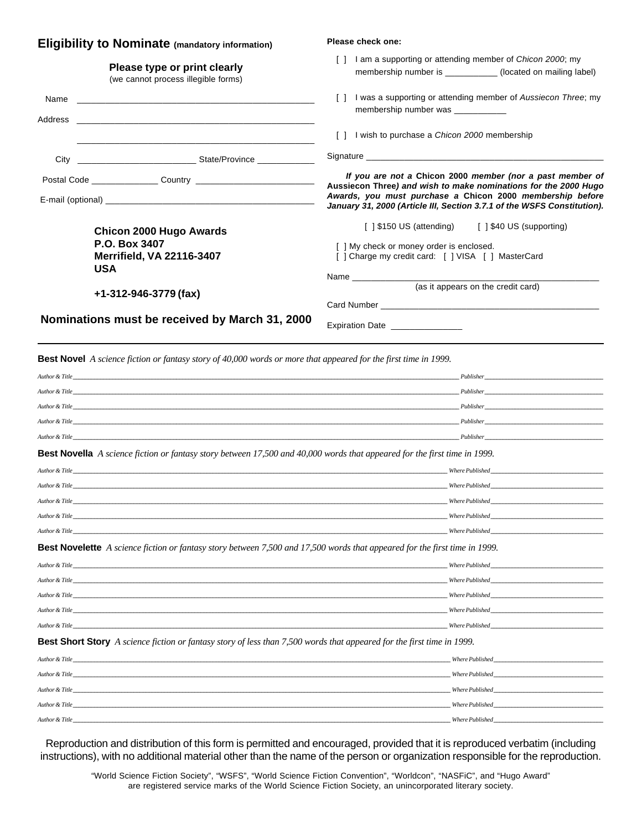| [ ] I am a supporting or attending member of Chicon 2000; my<br>membership number is ____________ (located on mailing label)<br>[] I was a supporting or attending member of Aussiecon Three; my                                                                     |
|----------------------------------------------------------------------------------------------------------------------------------------------------------------------------------------------------------------------------------------------------------------------|
|                                                                                                                                                                                                                                                                      |
| membership number was                                                                                                                                                                                                                                                |
| [] I wish to purchase a <i>Chicon 2000</i> membership                                                                                                                                                                                                                |
| Signature experience and the state of the state of the state of the state of the state of the state of the state of the state of the state of the state of the state of the state of the state of the state of the state of th                                       |
| If you are not a Chicon 2000 member (nor a past member of<br>Aussiecon Three) and wish to make nominations for the 2000 Hugo<br>Awards, you must purchase a Chicon 2000 membership before<br>January 31, 2000 (Article III, Section 3.7.1 of the WSFS Constitution). |
| [] \$150 US (attending) [] \$40 US (supporting)                                                                                                                                                                                                                      |
| [ ] My check or money order is enclosed.<br>[ ] Charge my credit card: [ ] VISA [ ] MasterCard                                                                                                                                                                       |
| (as it appears on the credit card)                                                                                                                                                                                                                                   |
|                                                                                                                                                                                                                                                                      |
| <b>Expiration Date Expiration</b>                                                                                                                                                                                                                                    |
|                                                                                                                                                                                                                                                                      |

**Best Novel** *A science fiction or fantasy story of 40,000 words or more that appeared for the first time in 1999.*

| Author & Title                                                                                                                    |                                                                                                                                                                                                                                    |  |
|-----------------------------------------------------------------------------------------------------------------------------------|------------------------------------------------------------------------------------------------------------------------------------------------------------------------------------------------------------------------------------|--|
|                                                                                                                                   |                                                                                                                                                                                                                                    |  |
|                                                                                                                                   |                                                                                                                                                                                                                                    |  |
| Author & Title                                                                                                                    | <i>Publisher</i> and the set of the set of the set of the set of the set of the set of the set of the set of the set of the set of the set of the set of the set of the set of the set of the set of the set of the set of the set |  |
|                                                                                                                                   | <i>Publisher</i>                                                                                                                                                                                                                   |  |
| <b>Best Novella</b> A science fiction or fantasy story between 17,500 and 40,000 words that appeared for the first time in 1999.  |                                                                                                                                                                                                                                    |  |
| Author & Title                                                                                                                    |                                                                                                                                                                                                                                    |  |
|                                                                                                                                   | Where Published <b>Example 20</b>                                                                                                                                                                                                  |  |
| Author & Title Where Published                                                                                                    |                                                                                                                                                                                                                                    |  |
| Author & Title                                                                                                                    | Where Published <b>Example 20</b>                                                                                                                                                                                                  |  |
|                                                                                                                                   | Where Published <b>Example 20</b>                                                                                                                                                                                                  |  |
|                                                                                                                                   |                                                                                                                                                                                                                                    |  |
| <b>Best Novelette</b> A science fiction or fantasy story between 7,500 and 17,500 words that appeared for the first time in 1999. |                                                                                                                                                                                                                                    |  |
|                                                                                                                                   | Where Published <b>Example 20</b>                                                                                                                                                                                                  |  |
| Author & Title Where Published                                                                                                    |                                                                                                                                                                                                                                    |  |
|                                                                                                                                   |                                                                                                                                                                                                                                    |  |
| Author & Title                                                                                                                    | Where Published North States and States and States and States and States and States and States and States and States and States and States and States and States and States and States and States and States and States and St     |  |
| Author & Title                                                                                                                    | Where Published <b>Example 20</b>                                                                                                                                                                                                  |  |
| <b>Best Short Story</b> A science fiction or fantasy story of less than 7,500 words that appeared for the first time in 1999.     |                                                                                                                                                                                                                                    |  |
| Author & Title                                                                                                                    |                                                                                                                                                                                                                                    |  |
|                                                                                                                                   | Where Published North States and States and States and States and States and States and States and States and States and States and States and States and States and States and States and States and States and States and St     |  |
| Author & Title                                                                                                                    | Where Published <b>Example 20</b>                                                                                                                                                                                                  |  |

Reproduction and distribution of this form is permitted and encouraged, provided that it is reproduced verbatim (including instructions), with no additional material other than the name of the person or organization responsible for the reproduction.

*Author & Title \_\_\_\_\_\_\_\_\_\_\_\_\_\_\_\_\_\_\_\_\_\_\_\_\_\_\_\_\_\_\_\_\_\_\_\_\_\_\_\_\_\_\_\_\_\_\_\_\_\_\_\_\_\_\_\_\_\_\_\_\_\_\_\_\_\_\_\_\_\_\_\_\_\_\_\_\_\_\_\_\_\_\_\_\_\_\_\_\_\_\_\_\_\_\_\_\_\_\_\_\_\_\_\_\_\_\_\_\_\_\_\_\_\_\_\_\_\_\_\_\_\_\_\_ Where Published \_\_\_\_\_\_\_\_\_\_\_\_\_\_\_\_\_\_\_\_\_\_\_\_\_\_\_\_\_\_\_\_\_\_\_\_*

"World Science Fiction Society", "WSFS", "World Science Fiction Convention", "Worldcon", "NASFiC", and "Hugo Award" are registered service marks of the World Science Fiction Society, an unincorporated literary society.